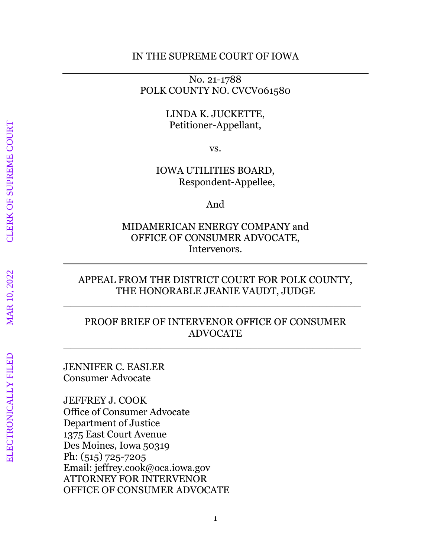#### IN THE SUPREME COURT OF IOWA

### No. 21-1788 POLK COUNTY NO. CVCV061580

#### LINDA K. JUCKETTE, Petitioner-Appellant,

vs.

IOWA UTILITIES BOARD, Respondent-Appellee,

And

MIDAMERICAN ENERGY COMPANY and OFFICE OF CONSUMER ADVOCATE, Intervenors.

### APPEAL FROM THE DISTRICT COURT FOR POLK COUNTY, THE HONORABLE JEANIE VAUDT, JUDGE

**\_\_\_\_\_\_\_\_\_\_\_\_\_\_\_\_\_\_\_\_\_\_\_\_\_\_\_\_\_\_\_\_\_\_\_\_\_\_\_\_\_\_\_**

### PROOF BRIEF OF INTERVENOR OFFICE OF CONSUMER ADVOCATE

**\_\_\_\_\_\_\_\_\_\_\_\_\_\_\_\_\_\_\_\_\_\_\_\_\_\_\_\_\_\_\_\_\_\_\_\_\_\_\_\_\_\_\_**

JENNIFER C. EASLER Consumer Advocate

JEFFREY J. COOK Office of Consumer Advocate Department of Justice 1375 East Court Avenue Des Moines, Iowa 50319 Ph: (515) 725-7205 Email: jeffrey.cook@oca.iowa.gov ATTORNEY FOR INTERVENOR OFFICE OF CONSUMER ADVOCATE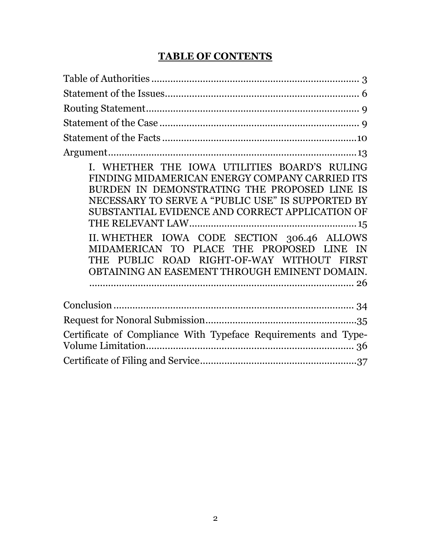# **TABLE OF CONTENTS**

| I. WHETHER THE IOWA UTILITIES BOARD'S RULING<br>FINDING MIDAMERICAN ENERGY COMPANY CARRIED ITS<br>BURDEN IN DEMONSTRATING THE PROPOSED LINE IS<br>NECESSARY TO SERVE A "PUBLIC USE" IS SUPPORTED BY<br>SUBSTANTIAL EVIDENCE AND CORRECT APPLICATION OF<br>II. WHETHER IOWA CODE SECTION 306.46 ALLOWS<br>MIDAMERICAN TO PLACE THE PROPOSED LINE IN<br>THE PUBLIC ROAD RIGHT-OF-WAY WITHOUT FIRST<br>OBTAINING AN EASEMENT THROUGH EMINENT DOMAIN. |
|---------------------------------------------------------------------------------------------------------------------------------------------------------------------------------------------------------------------------------------------------------------------------------------------------------------------------------------------------------------------------------------------------------------------------------------------------|
|                                                                                                                                                                                                                                                                                                                                                                                                                                                   |
|                                                                                                                                                                                                                                                                                                                                                                                                                                                   |
| Certificate of Compliance With Typeface Requirements and Type-                                                                                                                                                                                                                                                                                                                                                                                    |
|                                                                                                                                                                                                                                                                                                                                                                                                                                                   |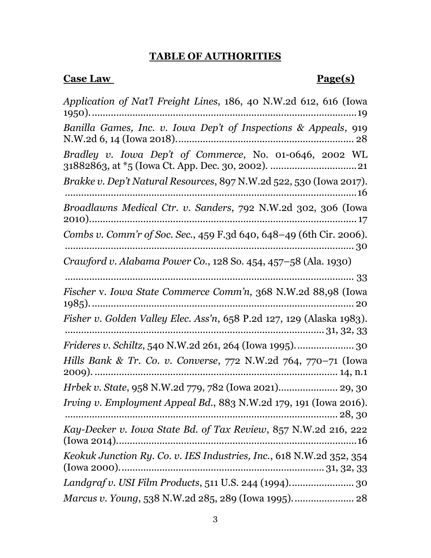### **TABLE OF AUTHORITIES**

#### **Case Law Page(s)**

*Application of Nat'l Freight Lines*, 186, 40 N.W.2d 612, 616 (Iowa 1950)...................................................................................................19 *Banilla Games, Inc. v. Iowa Dep't of Inspections & Appeals*, 919 N.W.2d 6, 14 (Iowa 2018).................................................................. 28 *Bradley v. Iowa Dep't of Commerce*, No. 01-0646, 2002 WL 31882863, at \*5 (Iowa Ct. App. Dec. 30, 2002). ................................21 *Brakke v. Dep't Natural Resources*, 897 N.W.2d 522, 530 (Iowa 2017). ............................................................................................................16 *Broadlawns Medical Ctr. v. Sanders*, 792 N.W.2d 302, 306 (Iowa 2010)................................................................................................... 17 *Combs v. Comm'r of Soc. Sec.*, 459 F.3d 640, 648–49 (6th Cir. 2006). ........................................................................................................... 30 *Crawford v. Alabama Power Co.*, 128 So. 454, 457–58 (Ala. 1930) وو<br>وو *Fischer* v. *Iowa State Commerce Comm'n*, 368 N.W.2d 88,98 (Iowa 1985).................................................................................................. 20 *Fisher v. Golden Valley Elec. Ass'n*, 658 P.2d 127, 129 (Alaska 1983). ................................................................................................ 31, 32, 33 *Frideres v. Schiltz*, 540 N.W.2d 261, 264 (Iowa 1995)...................... 30 *Hills Bank & Tr. Co. v. Converse*, 772 N.W.2d 764, 770–71 (Iowa 2009). .......................................................................................... 14, n.1 *Hrbek v. State*, 958 N.W.2d 779, 782 (Iowa 2021)...................... 29, 30 *Irving v. Employment Appeal Bd.*, 883 N.W.2d 179, 191 (Iowa 2016). ..................................................................................................... 28, 30 *Kay-Decker v. Iowa State Bd. of Tax Review*, 857 N.W.2d 216, 222 (Iowa 2014).........................................................................................16 *Keokuk Junction Ry. Co. v. IES Industries, Inc.*, 618 N.W.2d 352, 354 (Iowa 2000)............................................................................ 31, 32, 33 *Landgraf v. USI Film Products*, 511 U.S. 244 (1994)........................ 30 *Marcus v. Young*, 538 N.W.2d 285, 289 (Iowa 1995)....................... 28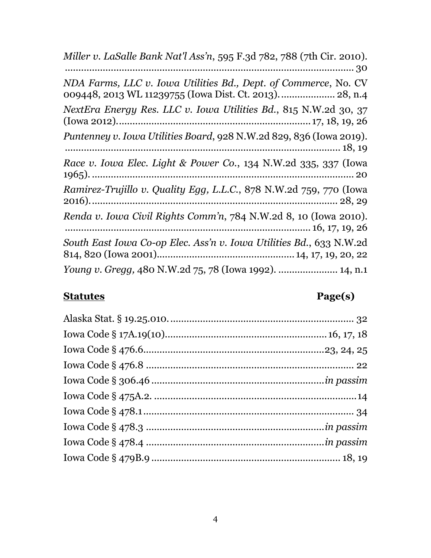| Miller v. LaSalle Bank Nat'l Ass'n, 595 F.3d 782, 788 (7th Cir. 2010).                                                    |
|---------------------------------------------------------------------------------------------------------------------------|
| NDA Farms, LLC v. Iowa Utilities Bd., Dept. of Commerce, No. CV<br>009448, 2013 WL 11239755 (Iowa Dist. Ct. 2013) 28, n.4 |
| NextEra Energy Res. LLC v. Iowa Utilities Bd., 815 N.W.2d 30, 37                                                          |
| Puntenney v. Iowa Utilities Board, 928 N.W.2d 829, 836 (Iowa 2019).                                                       |
| Race v. Iowa Elec. Light & Power Co., 134 N.W.2d 335, 337 (Iowa                                                           |
| Ramirez-Trujillo v. Quality Egg, L.L.C., 878 N.W.2d 759, 770 (Iowa                                                        |
| Renda v. Iowa Civil Rights Comm'n, 784 N.W.2d 8, 10 (Iowa 2010).                                                          |
| South East Iowa Co-op Elec. Ass'n v. Iowa Utilities Bd., 633 N.W.2d                                                       |
| <i>Young v. Gregg, 480 N.W.2d 75, 78 (Iowa 1992).  14, n.1</i>                                                            |

# **Statutes Page(s)**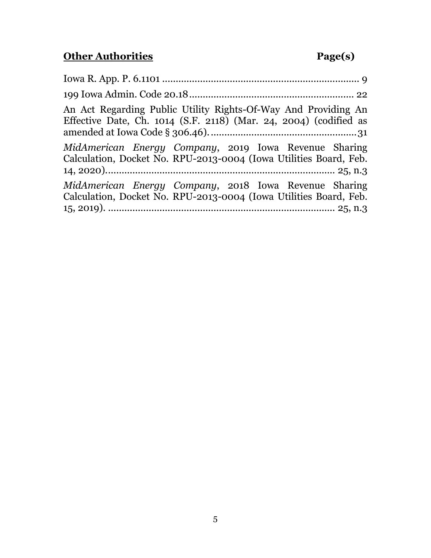# **Other Authorities Page(s)**

| An Act Regarding Public Utility Rights-Of-Way And Providing An<br>Effective Date, Ch. $1014$ (S.F. 2118) (Mar. 24, 2004) (codified as |
|---------------------------------------------------------------------------------------------------------------------------------------|
| MidAmerican Energy Company, 2019 Iowa Revenue Sharing<br>Calculation, Docket No. RPU-2013-0004 (Iowa Utilities Board, Feb.            |
| MidAmerican Energy Company, 2018 Iowa Revenue Sharing<br>Calculation, Docket No. RPU-2013-0004 (Iowa Utilities Board, Feb.            |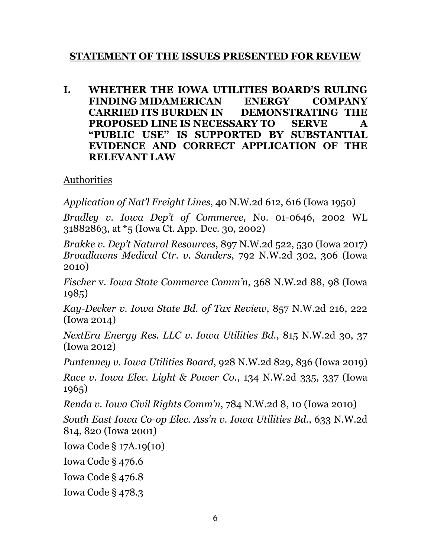# **STATEMENT OF THE ISSUES PRESENTED FOR REVIEW**

**I. WHETHER THE IOWA UTILITIES BOARD'S RULING FINDING MIDAMERICAN ENERGY COMPANY CARRIED ITS BURDEN IN DEMONSTRATING THE PROPOSED LINE IS NECESSARY TO SERVE A "PUBLIC USE" IS SUPPORTED BY SUBSTANTIAL EVIDENCE AND CORRECT APPLICATION OF THE RELEVANT LAW**

# Authorities

*Application of Nat'l Freight Lines*, 40 N.W.2d 612, 616 (Iowa 1950)

*Bradley v. Iowa Dep't of Commerce*, No. 01-0646, 2002 WL 31882863, at \*5 (Iowa Ct. App. Dec. 30, 2002)

*Brakke v. Dep't Natural Resources*, 897 N.W.2d 522, 530 (Iowa 2017) *Broadlawns Medical Ctr. v. Sanders*, 792 N.W.2d 302, 306 (Iowa 2010)

*Fischer* v. *Iowa State Commerce Comm'n*, 368 N.W.2d 88, 98 (Iowa 1985)

*Kay-Decker v. Iowa State Bd. of Tax Review*, 857 N.W.2d 216, 222 (Iowa 2014)

*NextEra Energy Res. LLC v. Iowa Utilities Bd.*, 815 N.W.2d 30, 37 (Iowa 2012)

*Puntenney v. Iowa Utilities Board*, 928 N.W.2d 829, 836 (Iowa 2019)

*Race v. Iowa Elec. Light & Power Co.*, 134 N.W.2d 335, 337 (Iowa 1965)

*Renda v. Iowa Civil Rights Comm'n*, 784 N.W.2d 8, 10 (Iowa 2010)

*South East Iowa Co-op Elec. Ass'n v. Iowa Utilities Bd.*, 633 N.W.2d 814, 820 (Iowa 2001)

Iowa Code § 17A.19(10)

Iowa Code § 476.6

Iowa Code § 476.8

Iowa Code § 478.3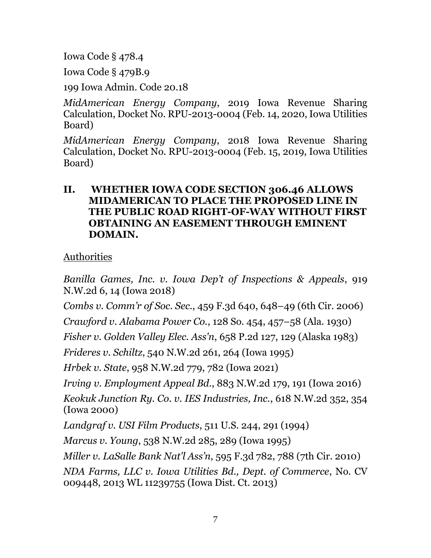Iowa Code § 478.4

Iowa Code § 479B.9

199 Iowa Admin. Code 20.18

*MidAmerican Energy Company*, 2019 Iowa Revenue Sharing Calculation, Docket No. RPU-2013-0004 (Feb. 14, 2020, Iowa Utilities Board)

*MidAmerican Energy Company*, 2018 Iowa Revenue Sharing Calculation, Docket No. RPU-2013-0004 (Feb. 15, 2019, Iowa Utilities Board)

# **II. WHETHER IOWA CODE SECTION 306.46 ALLOWS MIDAMERICAN TO PLACE THE PROPOSED LINE IN THE PUBLIC ROAD RIGHT-OF-WAY WITHOUT FIRST OBTAINING AN EASEMENT THROUGH EMINENT DOMAIN.**

Authorities

*Banilla Games, Inc. v. Iowa Dep't of Inspections & Appeals*, 919 N.W.2d 6, 14 (Iowa 2018)

*Combs v. Comm'r of Soc. Sec.*, 459 F.3d 640, 648–49 (6th Cir. 2006)

*Crawford v. Alabama Power Co.*, 128 So. 454, 457–58 (Ala. 1930)

*Fisher v. Golden Valley Elec. Ass'n*, 658 P.2d 127, 129 (Alaska 1983)

*Frideres v. Schiltz*, 540 N.W.2d 261, 264 (Iowa 1995)

*Hrbek v. State*, 958 N.W.2d 779, 782 (Iowa 2021)

*Irving v. Employment Appeal Bd.*, 883 N.W.2d 179, 191 (Iowa 2016)

*Keokuk Junction Ry. Co. v. IES Industries, Inc.*, 618 N.W.2d 352, 354 (Iowa 2000)

*Landgraf v. USI Film Products*, 511 U.S. 244, 291 (1994)

*Marcus v. Young*, 538 N.W.2d 285, 289 (Iowa 1995)

*Miller v. LaSalle Bank Nat'l Ass'n*, 595 F.3d 782, 788 (7th Cir. 2010)

*NDA Farms, LLC v. Iowa Utilities Bd., Dept. of Commerce*, No. CV 009448, 2013 WL 11239755 (Iowa Dist. Ct. 2013)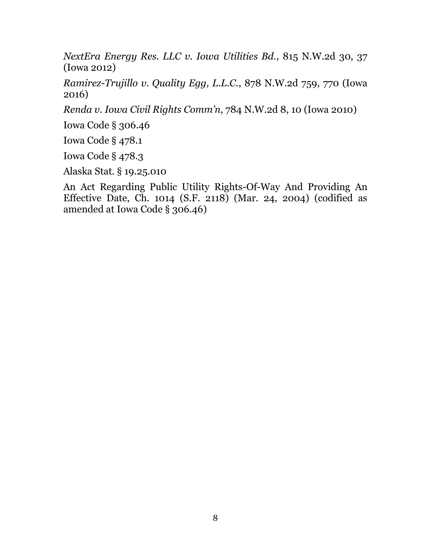*NextEra Energy Res. LLC v. Iowa Utilities Bd.*, 815 N.W.2d 30, 37 (Iowa 2012)

*Ramirez-Trujillo v. Quality Egg, L.L.C.*, 878 N.W.2d 759, 770 (Iowa 2016)

*Renda v. Iowa Civil Rights Comm'n*, 784 N.W.2d 8, 10 (Iowa 2010)

Iowa Code § 306.46

Iowa Code § 478.1

Iowa Code § 478.3

Alaska Stat. § 19.25.010

An Act Regarding Public Utility Rights-Of-Way And Providing An Effective Date, Ch. 1014 (S.F. 2118) (Mar. 24, 2004) (codified as amended at Iowa Code § 306.46)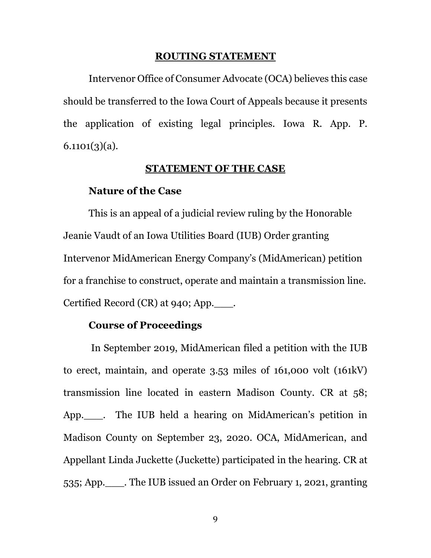#### **ROUTING STATEMENT**

Intervenor Office of Consumer Advocate (OCA) believes this case should be transferred to the Iowa Court of Appeals because it presents the application of existing legal principles. Iowa R. App. P.  $6.1101(3)(a)$ .

#### **STATEMENT OF THE CASE**

#### **Nature of the Case**

This is an appeal of a judicial review ruling by the Honorable Jeanie Vaudt of an Iowa Utilities Board (IUB) Order granting Intervenor MidAmerican Energy Company's (MidAmerican) petition for a franchise to construct, operate and maintain a transmission line. Certified Record (CR) at 940; App.  $\qquad$ .

#### **Course of Proceedings**

In September 2019, MidAmerican filed a petition with the IUB to erect, maintain, and operate 3.53 miles of 161,000 volt (161kV) transmission line located in eastern Madison County. CR at 58; App. Fig. The IUB held a hearing on MidAmerican's petition in Madison County on September 23, 2020. OCA, MidAmerican, and Appellant Linda Juckette (Juckette) participated in the hearing. CR at 535; App.\_\_\_. The IUB issued an Order on February 1, 2021, granting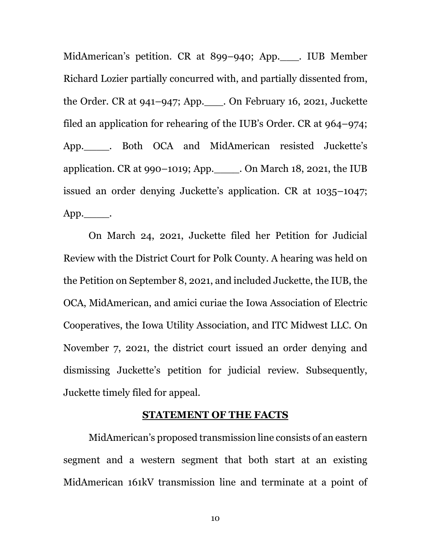MidAmerican's petition. CR at 899–940; App.\_\_\_. IUB Member Richard Lozier partially concurred with, and partially dissented from, the Order. CR at 941–947; App.\_\_\_. On February 16, 2021, Juckette filed an application for rehearing of the IUB's Order. CR at 964–974; App.\_\_\_\_. Both OCA and MidAmerican resisted Juckette's application. CR at 990–1019; App.\_\_\_\_. On March 18, 2021, the IUB issued an order denying Juckette's application. CR at 1035–1047;  $App.$ .

On March 24, 2021, Juckette filed her Petition for Judicial Review with the District Court for Polk County. A hearing was held on the Petition on September 8, 2021, and included Juckette, the IUB, the OCA, MidAmerican, and amici curiae the Iowa Association of Electric Cooperatives, the Iowa Utility Association, and ITC Midwest LLC. On November 7, 2021, the district court issued an order denying and dismissing Juckette's petition for judicial review. Subsequently, Juckette timely filed for appeal.

#### **STATEMENT OF THE FACTS**

MidAmerican's proposed transmission line consists of an eastern segment and a western segment that both start at an existing MidAmerican 161kV transmission line and terminate at a point of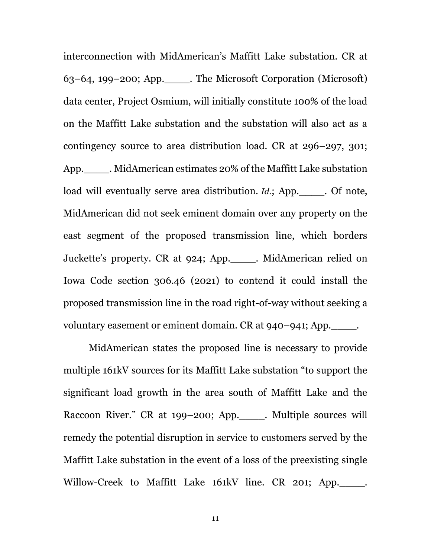interconnection with MidAmerican's Maffitt Lake substation. CR at 63–64, 199–200; App.\_\_\_\_. The Microsoft Corporation (Microsoft) data center, Project Osmium, will initially constitute 100% of the load on the Maffitt Lake substation and the substation will also act as a contingency source to area distribution load. CR at 296–297, 301; App.\_\_\_\_. MidAmerican estimates 20% of the Maffitt Lake substation load will eventually serve area distribution. *Id.*; App. \_\_\_\_\_. Of note, MidAmerican did not seek eminent domain over any property on the east segment of the proposed transmission line, which borders Juckette's property. CR at 924; App.\_\_\_\_. MidAmerican relied on Iowa Code section 306.46 (2021) to contend it could install the proposed transmission line in the road right-of-way without seeking a voluntary easement or eminent domain. CR at 940–941; App.

MidAmerican states the proposed line is necessary to provide multiple 161kV sources for its Maffitt Lake substation "to support the significant load growth in the area south of Maffitt Lake and the Raccoon River." CR at 199–200; App.\_\_\_\_. Multiple sources will remedy the potential disruption in service to customers served by the Maffitt Lake substation in the event of a loss of the preexisting single Willow-Creek to Maffitt Lake 161kV line. CR 201; App.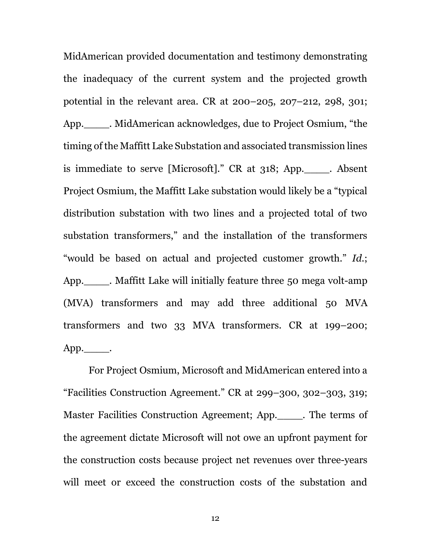MidAmerican provided documentation and testimony demonstrating the inadequacy of the current system and the projected growth potential in the relevant area. CR at 200–205, 207–212, 298, 301; App.\_\_\_\_. MidAmerican acknowledges, due to Project Osmium, "the timing of the Maffitt Lake Substation and associated transmission lines is immediate to serve [Microsoft]." CR at 318; App.\_\_\_\_. Absent Project Osmium, the Maffitt Lake substation would likely be a "typical distribution substation with two lines and a projected total of two substation transformers," and the installation of the transformers "would be based on actual and projected customer growth." *Id.*; App.\_\_\_\_. Maffitt Lake will initially feature three 50 mega volt-amp (MVA) transformers and may add three additional 50 MVA transformers and two 33 MVA transformers. CR at 199–200;  $App.$ .

For Project Osmium, Microsoft and MidAmerican entered into a "Facilities Construction Agreement." CR at 299–300, 302–303, 319; Master Facilities Construction Agreement; App.\_\_\_\_. The terms of the agreement dictate Microsoft will not owe an upfront payment for the construction costs because project net revenues over three-years will meet or exceed the construction costs of the substation and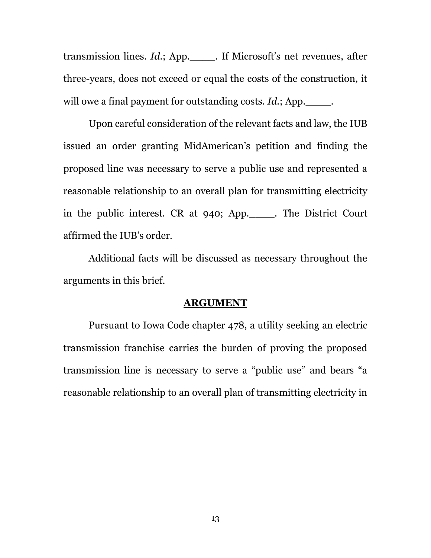transmission lines. *Id.*; App.\_\_\_\_. If Microsoft's net revenues, after three-years, does not exceed or equal the costs of the construction, it will owe a final payment for outstanding costs. *Id.*; App.

Upon careful consideration of the relevant facts and law, the IUB issued an order granting MidAmerican's petition and finding the proposed line was necessary to serve a public use and represented a reasonable relationship to an overall plan for transmitting electricity in the public interest. CR at 940; App.\_\_\_\_. The District Court affirmed the IUB's order.

Additional facts will be discussed as necessary throughout the arguments in this brief.

#### **ARGUMENT**

Pursuant to Iowa Code chapter 478, a utility seeking an electric transmission franchise carries the burden of proving the proposed transmission line is necessary to serve a "public use" and bears "a reasonable relationship to an overall plan of transmitting electricity in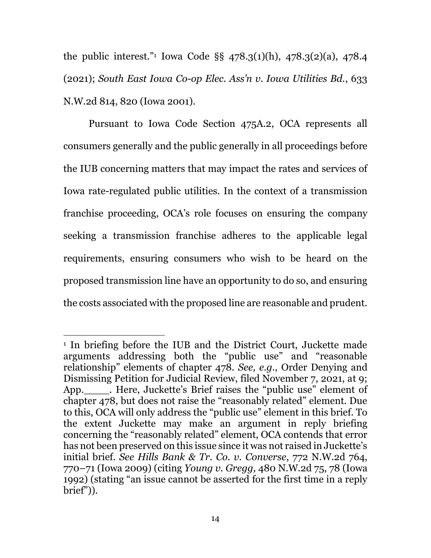the public interest."<sup>1</sup> Iowa Code §§ 478.3(1)(h), 478.3(2)(a), 478.4 (2021); *South East Iowa Co-op Elec. Ass'n v. Iowa Utilities Bd.*, 633 N.W.2d 814, 820 (Iowa 2001).

Pursuant to Iowa Code Section 475A.2, OCA represents all consumers generally and the public generally in all proceedings before the IUB concerning matters that may impact the rates and services of Iowa rate-regulated public utilities. In the context of a transmission franchise proceeding, OCA's role focuses on ensuring the company seeking a transmission franchise adheres to the applicable legal requirements, ensuring consumers who wish to be heard on the proposed transmission line have an opportunity to do so, and ensuring the costs associated with the proposed line are reasonable and prudent.

 $\overline{a}$ 

<sup>1</sup> In briefing before the IUB and the District Court, Juckette made arguments addressing both the "public use" and "reasonable relationship" elements of chapter 478. *See, e.g.*, Order Denying and Dismissing Petition for Judicial Review, filed November 7, 2021, at 9; App.\_\_\_\_. Here, Juckette's Brief raises the "public use" element of chapter 478, but does not raise the "reasonably related" element. Due to this, OCA will only address the "public use" element in this brief. To the extent Juckette may make an argument in reply briefing concerning the "reasonably related" element, OCA contends that error has not been preserved on this issue since it was not raised in Juckette's initial brief. *See Hills Bank & Tr. Co. v. Converse*, 772 N.W.2d 764, 770–71 (Iowa 2009) (citing *Young v. Gregg,* 480 N.W.2d 75, 78 (Iowa 1992) (stating "an issue cannot be asserted for the first time in a reply brief")).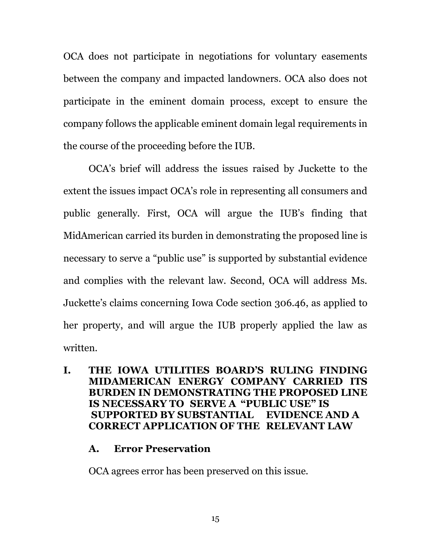OCA does not participate in negotiations for voluntary easements between the company and impacted landowners. OCA also does not participate in the eminent domain process, except to ensure the company follows the applicable eminent domain legal requirements in the course of the proceeding before the IUB.

OCA's brief will address the issues raised by Juckette to the extent the issues impact OCA's role in representing all consumers and public generally. First, OCA will argue the IUB's finding that MidAmerican carried its burden in demonstrating the proposed line is necessary to serve a "public use" is supported by substantial evidence and complies with the relevant law. Second, OCA will address Ms. Juckette's claims concerning Iowa Code section 306.46, as applied to her property, and will argue the IUB properly applied the law as written.

## **I. THE IOWA UTILITIES BOARD'S RULING FINDING MIDAMERICAN ENERGY COMPANY CARRIED ITS BURDEN IN DEMONSTRATING THE PROPOSED LINE IS NECESSARY TO SERVE A "PUBLIC USE" IS SUPPORTED BY SUBSTANTIAL EVIDENCE AND A CORRECT APPLICATION OF THE RELEVANT LAW**

#### **A. Error Preservation**

OCA agrees error has been preserved on this issue.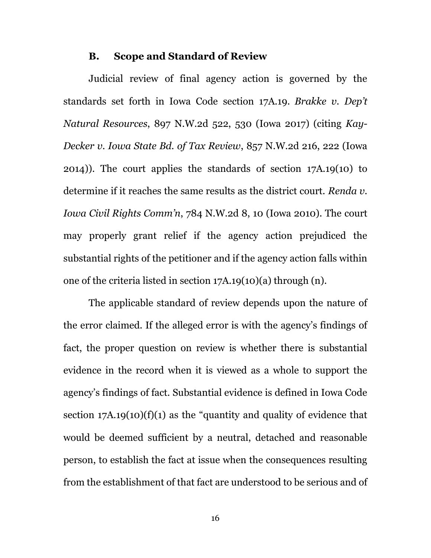#### **B. Scope and Standard of Review**

Judicial review of final agency action is governed by the standards set forth in Iowa Code section 17A.19. *Brakke v. Dep't Natural Resources*, 897 N.W.2d 522, 530 (Iowa 2017) (citing *Kay-Decker v. Iowa State Bd. of Tax Review*, 857 N.W.2d 216, 222 (Iowa 2014)). The court applies the standards of section 17A.19(10) to determine if it reaches the same results as the district court. *Renda v. Iowa Civil Rights Comm'n*, 784 N.W.2d 8, 10 (Iowa 2010). The court may properly grant relief if the agency action prejudiced the substantial rights of the petitioner and if the agency action falls within one of the criteria listed in section 17A.19(10)(a) through (n).

The applicable standard of review depends upon the nature of the error claimed. If the alleged error is with the agency's findings of fact, the proper question on review is whether there is substantial evidence in the record when it is viewed as a whole to support the agency's findings of fact. Substantial evidence is defined in Iowa Code section  $17A.19(10)(f)(1)$  as the "quantity and quality of evidence that would be deemed sufficient by a neutral, detached and reasonable person, to establish the fact at issue when the consequences resulting from the establishment of that fact are understood to be serious and of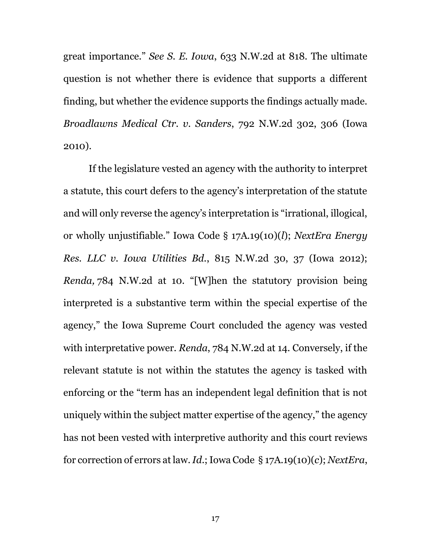great importance." *See S. E. Iowa*, 633 N.W.2d at 818. The ultimate question is not whether there is evidence that supports a different finding, but whether the evidence supports the findings actually made. *Broadlawns Medical Ctr. v. Sanders*, 792 N.W.2d 302, 306 (Iowa 2010).

If the legislature vested an agency with the authority to interpret a statute, this court defers to the agency's interpretation of the statute and will only reverse the agency's interpretation is "irrational, illogical, or wholly unjustifiable." Iowa Code § 17A.19(10)(*l*); *NextEra Energy Res. LLC v. Iowa Utilities Bd.*, 815 N.W.2d 30, 37 (Iowa 2012); *Renda,* 784 N.W.2d at 10. "[W]hen the statutory provision being interpreted is a substantive term within the special expertise of the agency," the Iowa Supreme Court concluded the agency was vested with interpretative power. *Renda*, 784 N.W.2d at 14. Conversely, if the relevant statute is not within the statutes the agency is tasked with enforcing or the "term has an independent legal definition that is not uniquely within the subject matter expertise of the agency," the agency has not been vested with interpretive authority and this court reviews for correction of errors at law.*Id*.; Iowa Code § 17A.19(10)(*c*); *NextEra*,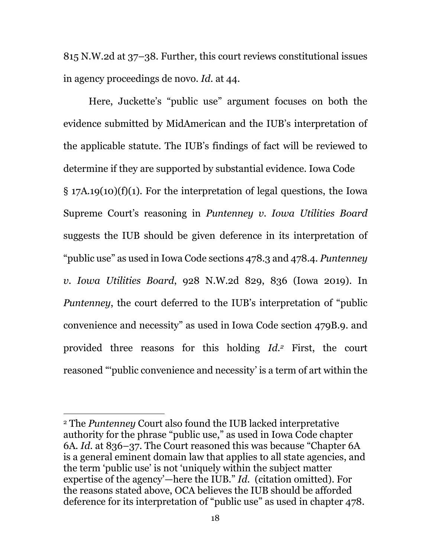815 N.W.2d at 37–38. Further, this court reviews constitutional issues in agency proceedings de novo. *Id.* at 44.

Here, Juckette's "public use" argument focuses on both the evidence submitted by MidAmerican and the IUB's interpretation of the applicable statute. The IUB's findings of fact will be reviewed to determine if they are supported by substantial evidence. Iowa Code § 17A.19(10)(f)(1). For the interpretation of legal questions, the Iowa Supreme Court's reasoning in *Puntenney v. Iowa Utilities Board* suggests the IUB should be given deference in its interpretation of "public use" as used in Iowa Code sections 478.3 and 478.4. *Puntenney v. Iowa Utilities Board*, 928 N.W.2d 829, 836 (Iowa 2019). In *Puntenney*, the court deferred to the IUB's interpretation of "public convenience and necessity" as used in Iowa Code section 479B.9. and provided three reasons for this holding *Id.<sup>2</sup>* First, the court reasoned "'public convenience and necessity' is a term of art within the

 $\overline{a}$ 

<sup>2</sup> The *Puntenney* Court also found the IUB lacked interpretative authority for the phrase "public use," as used in Iowa Code chapter 6A. *Id.* at 836–37. The Court reasoned this was because "Chapter 6A is a general eminent domain law that applies to all state agencies, and the term 'public use' is not 'uniquely within the subject matter expertise of the agency'—here the IUB." *Id.* (citation omitted). For the reasons stated above, OCA believes the IUB should be afforded deference for its interpretation of "public use" as used in chapter 478.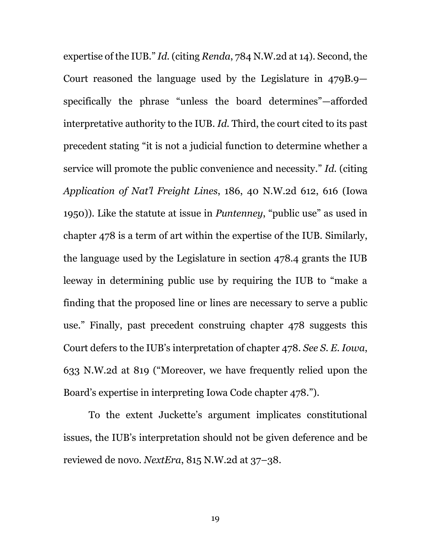expertise of the IUB." *Id.* (citing *Renda*, 784 N.W.2d at 14). Second, the Court reasoned the language used by the Legislature in 479B.9 specifically the phrase "unless the board determines"—afforded interpretative authority to the IUB. *Id.* Third, the court cited to its past precedent stating "it is not a judicial function to determine whether a service will promote the public convenience and necessity." *Id.* (citing *Application of Nat'l Freight Lines*, 186, 40 N.W.2d 612, 616 (Iowa 1950)). Like the statute at issue in *Puntenney*, "public use" as used in chapter 478 is a term of art within the expertise of the IUB. Similarly, the language used by the Legislature in section 478.4 grants the IUB leeway in determining public use by requiring the IUB to "make a finding that the proposed line or lines are necessary to serve a public use." Finally, past precedent construing chapter 478 suggests this Court defers to the IUB's interpretation of chapter 478. *See S. E. Iowa*, 633 N.W.2d at 819 ("Moreover, we have frequently relied upon the Board's expertise in interpreting Iowa Code chapter 478.").

To the extent Juckette's argument implicates constitutional issues, the IUB's interpretation should not be given deference and be reviewed de novo. *NextEra*, 815 N.W.2d at 37–38.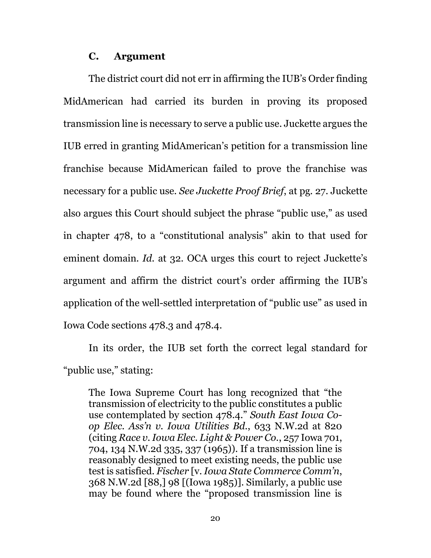#### **C. Argument**

The district court did not err in affirming the IUB's Order finding MidAmerican had carried its burden in proving its proposed transmission line is necessary to serve a public use. Juckette argues the IUB erred in granting MidAmerican's petition for a transmission line franchise because MidAmerican failed to prove the franchise was necessary for a public use. *See Juckette Proof Brief*, at pg. 27. Juckette also argues this Court should subject the phrase "public use," as used in chapter 478, to a "constitutional analysis" akin to that used for eminent domain. *Id.* at 32. OCA urges this court to reject Juckette's argument and affirm the district court's order affirming the IUB's application of the well-settled interpretation of "public use" as used in Iowa Code sections 478.3 and 478.4.

In its order, the IUB set forth the correct legal standard for "public use," stating:

The Iowa Supreme Court has long recognized that "the transmission of electricity to the public constitutes a public use contemplated by section 478.4." *South East Iowa Coop Elec. Ass'n v. Iowa Utilities Bd.*, 633 N.W.2d at 820 (citing *Race v. Iowa Elec. Light & Power Co.*, 257 Iowa 701, 704, 134 N.W.2d 335, 337 (1965)). If a transmission line is reasonably designed to meet existing needs, the public use test is satisfied. *Fischer* [v. *Iowa State Commerce Comm'n*, 368 N.W.2d [88,] 98 [(Iowa 1985)]. Similarly, a public use may be found where the "proposed transmission line is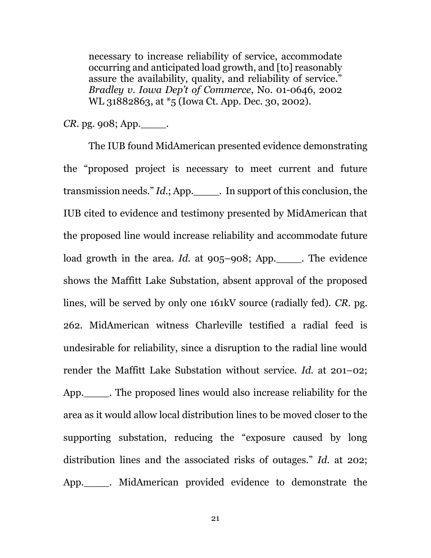necessary to increase reliability of service, accommodate occurring and anticipated load growth, and [to] reasonably assure the availability, quality, and reliability of service." *Bradley v. Iowa Dep't of Commerce*, No. 01-0646, 2002 WL 31882863, at \*5 (Iowa Ct. App. Dec. 30, 2002).

*CR*. pg. 908; App. .

The IUB found MidAmerican presented evidence demonstrating the "proposed project is necessary to meet current and future transmission needs." *Id.*; App.\_\_\_\_. In support of this conclusion, the IUB cited to evidence and testimony presented by MidAmerican that the proposed line would increase reliability and accommodate future load growth in the area. *Id.* at 905–908; App.\_\_\_\_. The evidence shows the Maffitt Lake Substation, absent approval of the proposed lines, will be served by only one 161kV source (radially fed). *CR.* pg. 262. MidAmerican witness Charleville testified a radial feed is undesirable for reliability, since a disruption to the radial line would render the Maffitt Lake Substation without service. *Id.* at 201–02; App.\_\_\_\_. The proposed lines would also increase reliability for the area as it would allow local distribution lines to be moved closer to the supporting substation, reducing the "exposure caused by long distribution lines and the associated risks of outages." *Id.* at 202; App.\_\_\_\_. MidAmerican provided evidence to demonstrate the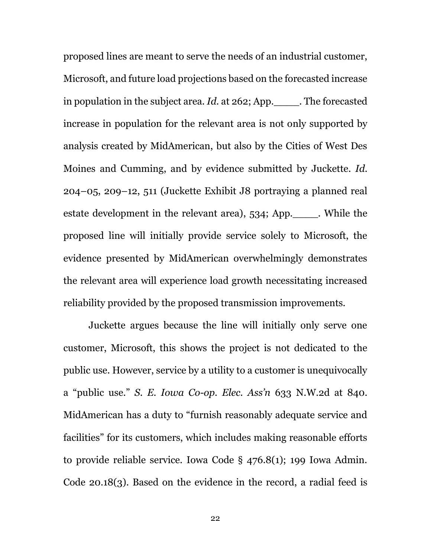proposed lines are meant to serve the needs of an industrial customer, Microsoft, and future load projections based on the forecasted increase in population in the subject area. *Id.* at 262; App.\_\_\_\_. The forecasted increase in population for the relevant area is not only supported by analysis created by MidAmerican, but also by the Cities of West Des Moines and Cumming, and by evidence submitted by Juckette. *Id*. 204–05, 209–12, 511 (Juckette Exhibit J8 portraying a planned real estate development in the relevant area), 534; App.\_\_\_\_. While the proposed line will initially provide service solely to Microsoft, the evidence presented by MidAmerican overwhelmingly demonstrates the relevant area will experience load growth necessitating increased reliability provided by the proposed transmission improvements.

Juckette argues because the line will initially only serve one customer, Microsoft, this shows the project is not dedicated to the public use. However, service by a utility to a customer is unequivocally a "public use." *S. E. Iowa Co-op. Elec. Ass'n* 633 N.W.2d at 840*.*  MidAmerican has a duty to "furnish reasonably adequate service and facilities" for its customers, which includes making reasonable efforts to provide reliable service. Iowa Code § 476.8(1); 199 Iowa Admin. Code 20.18(3). Based on the evidence in the record, a radial feed is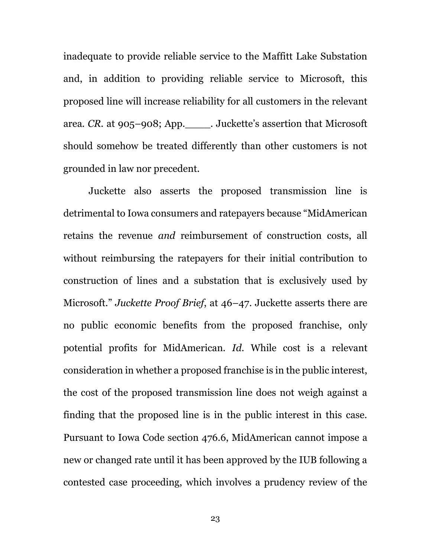inadequate to provide reliable service to the Maffitt Lake Substation and, in addition to providing reliable service to Microsoft, this proposed line will increase reliability for all customers in the relevant area. *CR.* at 905–908; App.\_\_\_\_. Juckette's assertion that Microsoft should somehow be treated differently than other customers is not grounded in law nor precedent.

Juckette also asserts the proposed transmission line is detrimental to Iowa consumers and ratepayers because "MidAmerican retains the revenue *and* reimbursement of construction costs, all without reimbursing the ratepayers for their initial contribution to construction of lines and a substation that is exclusively used by Microsoft." *Juckette Proof Brief*, at 46–47. Juckette asserts there are no public economic benefits from the proposed franchise, only potential profits for MidAmerican. *Id.* While cost is a relevant consideration in whether a proposed franchise is in the public interest, the cost of the proposed transmission line does not weigh against a finding that the proposed line is in the public interest in this case. Pursuant to Iowa Code section 476.6, MidAmerican cannot impose a new or changed rate until it has been approved by the IUB following a contested case proceeding, which involves a prudency review of the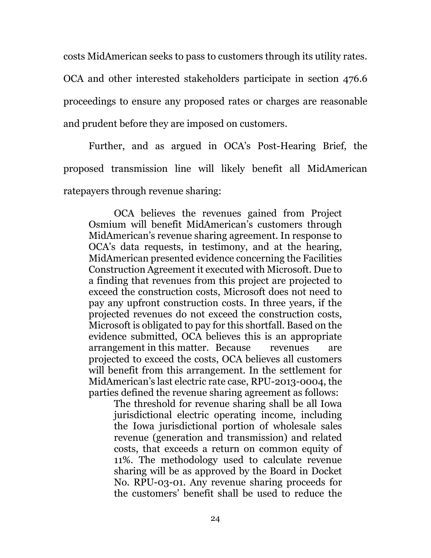costs MidAmerican seeks to pass to customers through its utility rates.

OCA and other interested stakeholders participate in section 476.6 proceedings to ensure any proposed rates or charges are reasonable and prudent before they are imposed on customers.

Further, and as argued in OCA's Post-Hearing Brief, the proposed transmission line will likely benefit all MidAmerican ratepayers through revenue sharing:

OCA believes the revenues gained from Project Osmium will benefit MidAmerican's customers through MidAmerican's revenue sharing agreement. In response to OCA's data requests, in testimony, and at the hearing, MidAmerican presented evidence concerning the Facilities Construction Agreement it executed with Microsoft. Due to a finding that revenues from this project are projected to exceed the construction costs, Microsoft does not need to pay any upfront construction costs. In three years, if the projected revenues do not exceed the construction costs, Microsoft is obligated to pay for this shortfall. Based on the evidence submitted, OCA believes this is an appropriate arrangement in this matter. Because revenues are projected to exceed the costs, OCA believes all customers will benefit from this arrangement. In the settlement for MidAmerican's last electric rate case, RPU-2013-0004, the parties defined the revenue sharing agreement as follows:

The threshold for revenue sharing shall be all Iowa jurisdictional electric operating income, including the Iowa jurisdictional portion of wholesale sales revenue (generation and transmission) and related costs, that exceeds a return on common equity of 11%. The methodology used to calculate revenue sharing will be as approved by the Board in Docket No. RPU-03-01. Any revenue sharing proceeds for the customers' benefit shall be used to reduce the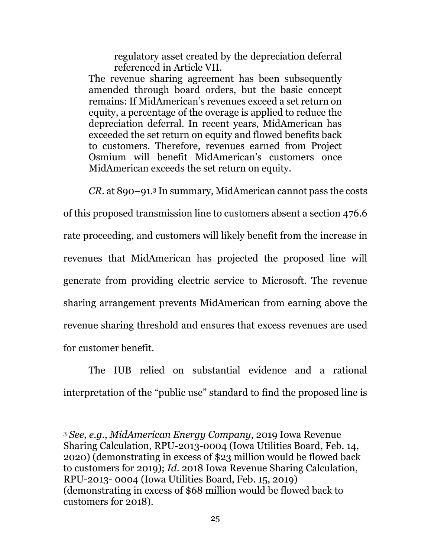regulatory asset created by the depreciation deferral referenced in Article VII.

The revenue sharing agreement has been subsequently amended through board orders, but the basic concept remains: If MidAmerican's revenues exceed a set return on equity, a percentage of the overage is applied to reduce the depreciation deferral. In recent years, MidAmerican has exceeded the set return on equity and flowed benefits back to customers. Therefore, revenues earned from Project Osmium will benefit MidAmerican's customers once MidAmerican exceeds the set return on equity.

*CR.* at 890–91.<sup>3</sup> In summary, MidAmerican cannot pass the costs

of this proposed transmission line to customers absent a section 476.6 rate proceeding, and customers will likely benefit from the increase in revenues that MidAmerican has projected the proposed line will generate from providing electric service to Microsoft. The revenue sharing arrangement prevents MidAmerican from earning above the revenue sharing threshold and ensures that excess revenues are used for customer benefit.

The IUB relied on substantial evidence and a rational interpretation of the "public use" standard to find the proposed line is

 $\overline{a}$ <sup>3</sup> *See, e.g.*, *MidAmerican Energy Company*, 2019 Iowa Revenue Sharing Calculation, RPU-2013-0004 (Iowa Utilities Board, Feb. 14, 2020) (demonstrating in excess of \$23 million would be flowed back to customers for 2019); *Id*. 2018 Iowa Revenue Sharing Calculation, RPU-2013- 0004 (Iowa Utilities Board, Feb. 15, 2019) (demonstrating in excess of \$68 million would be flowed back to customers for 2018).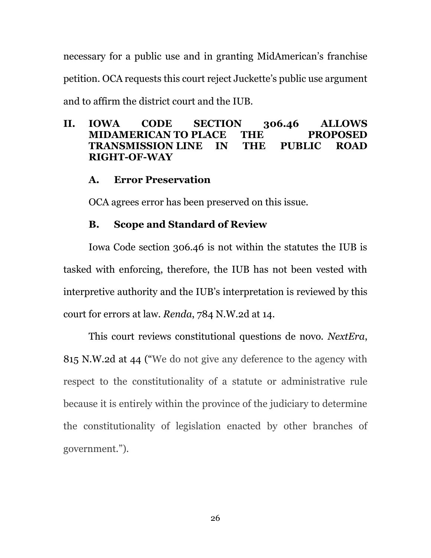necessary for a public use and in granting MidAmerican's franchise petition. OCA requests this court reject Juckette's public use argument and to affirm the district court and the IUB.

## **II. IOWA CODE SECTION 306.46 ALLOWS MIDAMERICAN TO PLACE THE PROPOSED TRANSMISSION LINE IN THE PUBLIC ROAD RIGHT-OF-WAY**

# **A. Error Preservation**

OCA agrees error has been preserved on this issue.

# **B. Scope and Standard of Review**

Iowa Code section 306.46 is not within the statutes the IUB is tasked with enforcing, therefore, the IUB has not been vested with interpretive authority and the IUB's interpretation is reviewed by this court for errors at law. *Renda*, 784 N.W.2d at 14.

This court reviews constitutional questions de novo. *NextEra*, 815 N.W.2d at 44 ("We do not give any deference to the agency with respect to the constitutionality of a statute or administrative rule because it is entirely within the province of the judiciary to determine the constitutionality of legislation enacted by other branches of government.").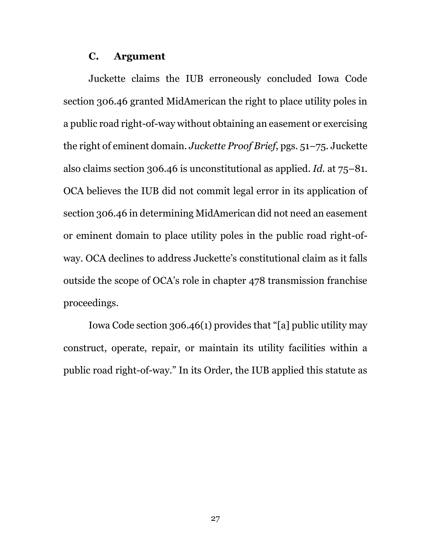#### **C. Argument**

Juckette claims the IUB erroneously concluded Iowa Code section 306.46 granted MidAmerican the right to place utility poles in a public road right-of-way without obtaining an easement or exercising the right of eminent domain. *Juckette Proof Brief*, pgs. 51–75. Juckette also claims section 306.46 is unconstitutional as applied. *Id.* at 75–81. OCA believes the IUB did not commit legal error in its application of section 306.46 in determining MidAmerican did not need an easement or eminent domain to place utility poles in the public road right-ofway. OCA declines to address Juckette's constitutional claim as it falls outside the scope of OCA's role in chapter 478 transmission franchise proceedings.

Iowa Code section 306.46(1) provides that "[a] public utility may construct, operate, repair, or maintain its utility facilities within a public road right-of-way." In its Order, the IUB applied this statute as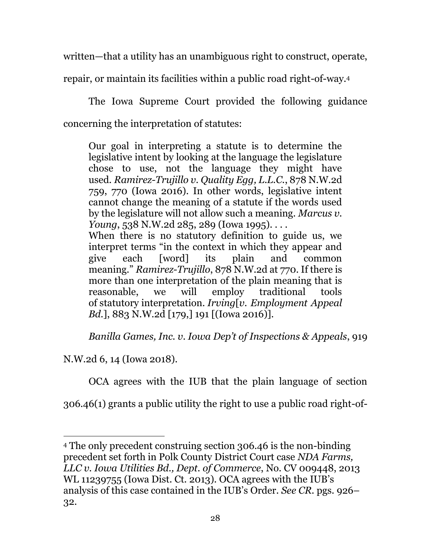written—that a utility has an unambiguous right to construct, operate,

repair, or maintain its facilities within a public road right-of-way.<sup>4</sup>

The Iowa Supreme Court provided the following guidance concerning the interpretation of statutes:

Our goal in interpreting a statute is to determine the legislative intent by looking at the language the legislature chose to use, not the language they might have used. *Ramirez-Trujillo v. Quality Egg, L.L.C.*, 878 N.W.2d 759, 770 (Iowa 2016). In other words, legislative intent cannot change the meaning of a statute if the words used by the legislature will not allow such a meaning. *Marcus v. Young*, 538 N.W.2d 285, 289 (Iowa 1995). . . . When there is no statutory definition to guide us, we

interpret terms "in the context in which they appear and give each [word] its plain and common meaning." *Ramirez-Trujillo*, 878 N.W.2d at 770. If there is more than one interpretation of the plain meaning that is reasonable, we will employ traditional tools of statutory interpretation. *Irving*[*v. Employment Appeal Bd.*], 883 N.W.2d [179,] 191 [(Iowa 2016)].

*Banilla Games, Inc. v. Iowa Dep't of Inspections & Appeals*, 919

N.W.2d 6, 14 (Iowa 2018).

 $\overline{a}$ 

OCA agrees with the IUB that the plain language of section

306.46(1) grants a public utility the right to use a public road right-of-

<sup>4</sup> The only precedent construing section 306.46 is the non-binding precedent set forth in Polk County District Court case *NDA Farms, LLC v. Iowa Utilities Bd., Dept. of Commerce*, No. CV 009448, 2013 WL 11239755 (Iowa Dist. Ct. 2013). OCA agrees with the IUB's analysis of this case contained in the IUB's Order. *See CR.* pgs. 926– 32.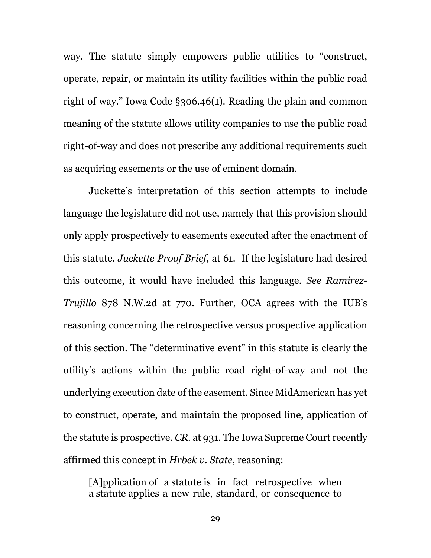way. The statute simply empowers public utilities to "construct, operate, repair, or maintain its utility facilities within the public road right of way." Iowa Code §306.46(1). Reading the plain and common meaning of the statute allows utility companies to use the public road right-of-way and does not prescribe any additional requirements such as acquiring easements or the use of eminent domain.

Juckette's interpretation of this section attempts to include language the legislature did not use, namely that this provision should only apply prospectively to easements executed after the enactment of this statute. *Juckette Proof Brief*, at 61. If the legislature had desired this outcome, it would have included this language. *See Ramirez-Trujillo* 878 N.W.2d at 770. Further, OCA agrees with the IUB's reasoning concerning the retrospective versus prospective application of this section. The "determinative event" in this statute is clearly the utility's actions within the public road right-of-way and not the underlying execution date of the easement. Since MidAmerican has yet to construct, operate, and maintain the proposed line, application of the statute is prospective. *CR.* at 931. The Iowa Supreme Court recently affirmed this concept in *Hrbek v. State*, reasoning:

[A]pplication of a statute is in fact retrospective when a statute applies a new rule, standard, or consequence to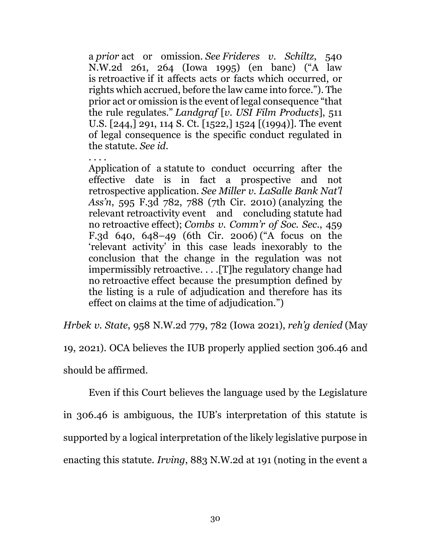a *prior* act or omission. *See Frideres v. Schiltz*, 540 N.W.2d 261, 264 (Iowa 1995) (en banc) ("A law is retroactive if it affects acts or facts which occurred, or rights which accrued, before the law came into force."). The prior act or omission is the event of legal consequence "that the rule regulates." *Landgraf* [*v. USI Film Products*], 511 U.S. [244,] 291, 114 S. Ct. [1522,] 1524 [(1994)]. The event of legal consequence is the specific conduct regulated in the statute. *See id.*

. . . . Application of a statute to conduct occurring after the effective date is in fact a prospective and not retrospective application. *See Miller v. LaSalle Bank Nat'l Ass'n*, 595 F.3d 782, 788 (7th Cir. 2010) (analyzing the relevant retroactivity event and concluding statute had no retroactive effect); *Combs v. Comm'r of Soc. Sec.*, 459 F.3d 640, 648–49 (6th Cir. 2006) ("A focus on the 'relevant activity' in this case leads inexorably to the conclusion that the change in the regulation was not impermissibly retroactive. . . .[T]he regulatory change had no retroactive effect because the presumption defined by the listing is a rule of adjudication and therefore has its effect on claims at the time of adjudication.")

*Hrbek v. State*, 958 N.W.2d 779, 782 (Iowa 2021), *reh'g denied* (May

19, 2021). OCA believes the IUB properly applied section 306.46 and should be affirmed.

Even if this Court believes the language used by the Legislature in 306.46 is ambiguous, the IUB's interpretation of this statute is supported by a logical interpretation of the likely legislative purpose in

enacting this statute. *Irving*, 883 N.W.2d at 191 (noting in the event a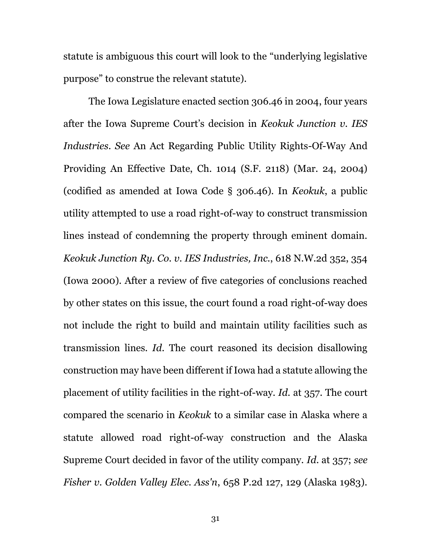statute is ambiguous this court will look to the "underlying legislative purpose" to construe the relevant statute).

The Iowa Legislature enacted section 306.46 in 2004, four years after the Iowa Supreme Court's decision in *Keokuk Junction v. IES Industries*. *See* An Act Regarding Public Utility Rights-Of-Way And Providing An Effective Date, Ch. 1014 (S.F. 2118) (Mar. 24, 2004) (codified as amended at Iowa Code § 306.46). In *Keokuk*, a public utility attempted to use a road right-of-way to construct transmission lines instead of condemning the property through eminent domain. *Keokuk Junction Ry. Co. v. IES Industries, Inc.*, 618 N.W.2d 352, 354 (Iowa 2000). After a review of five categories of conclusions reached by other states on this issue, the court found a road right-of-way does not include the right to build and maintain utility facilities such as transmission lines. *Id*. The court reasoned its decision disallowing construction may have been different if Iowa had a statute allowing the placement of utility facilities in the right-of-way. *Id.* at 357. The court compared the scenario in *Keokuk* to a similar case in Alaska where a statute allowed road right-of-way construction and the Alaska Supreme Court decided in favor of the utility company. *Id*. at 357; *see Fisher v. Golden Valley Elec. Ass'n*, 658 P.2d 127, 129 (Alaska 1983).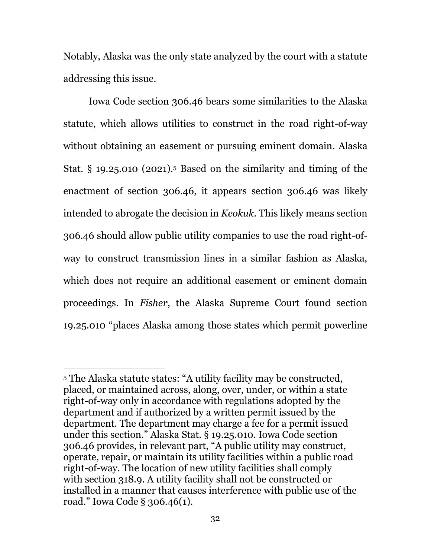Notably, Alaska was the only state analyzed by the court with a statute addressing this issue.

Iowa Code section 306.46 bears some similarities to the Alaska statute, which allows utilities to construct in the road right-of-way without obtaining an easement or pursuing eminent domain. Alaska Stat.  $\S$  19.25.010 (2021).<sup>5</sup> Based on the similarity and timing of the enactment of section 306.46, it appears section 306.46 was likely intended to abrogate the decision in *Keokuk*. This likely means section 306.46 should allow public utility companies to use the road right-ofway to construct transmission lines in a similar fashion as Alaska, which does not require an additional easement or eminent domain proceedings. In *Fisher*, the Alaska Supreme Court found section 19.25.010 "places Alaska among those states which permit powerline

 $\overline{a}$ 

<sup>5</sup> The Alaska statute states: "A utility facility may be constructed, placed, or maintained across, along, over, under, or within a state right-of-way only in accordance with regulations adopted by the department and if authorized by a written permit issued by the department. The department may charge a fee for a permit issued under this section." Alaska Stat. § 19.25.010. Iowa Code section 306.46 provides, in relevant part, "A public utility may construct, operate, repair, or maintain its utility facilities within a public road right-of-way. The location of new utility facilities shall comply with section 318.9. A utility facility shall not be constructed or installed in a manner that causes interference with public use of the road." Iowa Code § 306.46(1).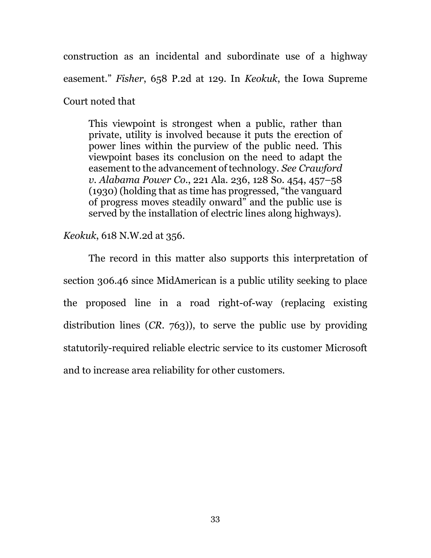construction as an incidental and subordinate use of a highway easement." *Fisher*, 658 P.2d at 129. In *Keokuk*, the Iowa Supreme Court noted that

This viewpoint is strongest when a public, rather than private, utility is involved because it puts the erection of power lines within the purview of the public need. This viewpoint bases its conclusion on the need to adapt the easement to the advancement of technology. *See Crawford v. Alabama Power Co.*, 221 Ala. 236, 128 So. 454, 457–58 (1930) (holding that as time has progressed, "the vanguard of progress moves steadily onward" and the public use is served by the installation of electric lines along highways).

*Keokuk*, 618 N.W.2d at 356.

The record in this matter also supports this interpretation of section 306.46 since MidAmerican is a public utility seeking to place the proposed line in a road right-of-way (replacing existing distribution lines (*CR.* 763)), to serve the public use by providing statutorily-required reliable electric service to its customer Microsoft and to increase area reliability for other customers.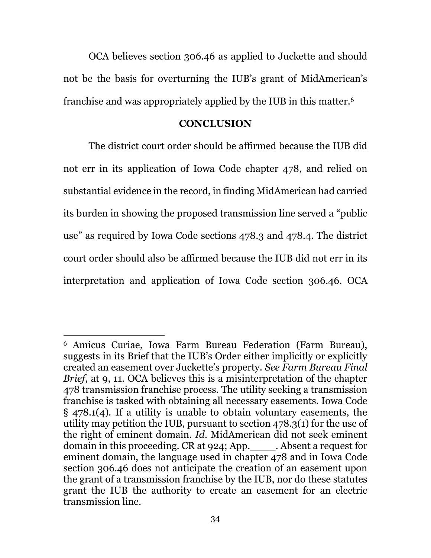OCA believes section 306.46 as applied to Juckette and should not be the basis for overturning the IUB's grant of MidAmerican's franchise and was appropriately applied by the IUB in this matter.<sup>6</sup>

#### **CONCLUSION**

The district court order should be affirmed because the IUB did not err in its application of Iowa Code chapter 478, and relied on substantial evidence in the record, in finding MidAmerican had carried its burden in showing the proposed transmission line served a "public use" as required by Iowa Code sections 478.3 and 478.4. The district court order should also be affirmed because the IUB did not err in its interpretation and application of Iowa Code section 306.46. OCA

 $\overline{a}$ <sup>6</sup> Amicus Curiae, Iowa Farm Bureau Federation (Farm Bureau), suggests in its Brief that the IUB's Order either implicitly or explicitly created an easement over Juckette's property. *See Farm Bureau Final Brief*, at 9, 11. OCA believes this is a misinterpretation of the chapter 478 transmission franchise process. The utility seeking a transmission franchise is tasked with obtaining all necessary easements. Iowa Code § 478.1(4). If a utility is unable to obtain voluntary easements, the utility may petition the IUB, pursuant to section 478.3(1) for the use of the right of eminent domain. *Id.* MidAmerican did not seek eminent domain in this proceeding. CR at 924; App. Absent a request for eminent domain, the language used in chapter 478 and in Iowa Code section 306.46 does not anticipate the creation of an easement upon the grant of a transmission franchise by the IUB, nor do these statutes grant the IUB the authority to create an easement for an electric transmission line.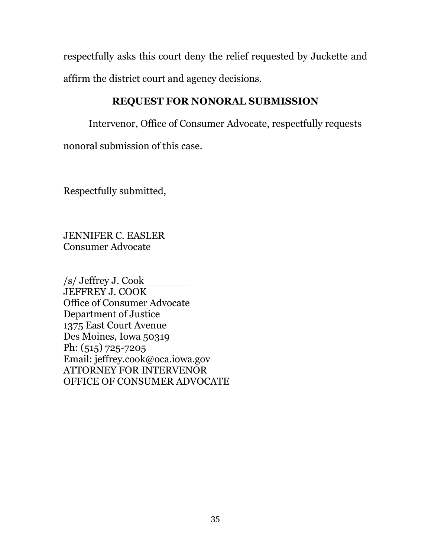respectfully asks this court deny the relief requested by Juckette and affirm the district court and agency decisions.

# **REQUEST FOR NONORAL SUBMISSION**

Intervenor, Office of Consumer Advocate, respectfully requests nonoral submission of this case.

Respectfully submitted,

JENNIFER C. EASLER Consumer Advocate

/s/ Jeffrey J. Cook JEFFREY J. COOK Office of Consumer Advocate Department of Justice 1375 East Court Avenue Des Moines, Iowa 50319 Ph: (515) 725-7205 Email: jeffrey.cook@oca.iowa.gov ATTORNEY FOR INTERVENOR OFFICE OF CONSUMER ADVOCATE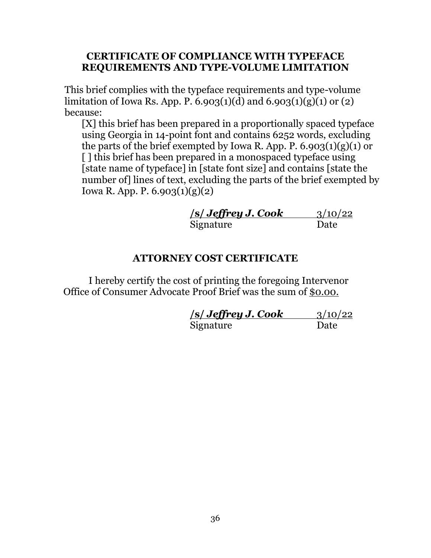### **CERTIFICATE OF COMPLIANCE WITH TYPEFACE REQUIREMENTS AND TYPE-VOLUME LIMITATION**

This brief complies with the typeface requirements and type-volume limitation of Iowa Rs. App. P. 6.903(1)(d) and 6.903(1)(g)(1) or (2) because:

[X] this brief has been prepared in a proportionally spaced typeface using Georgia in 14-point font and contains 6252 words, excluding the parts of the brief exempted by Iowa R. App. P.  $6.903(1)(g)(1)$  or [] this brief has been prepared in a monospaced typeface using [state name of typeface] in [state font size] and contains [state the number of] lines of text, excluding the parts of the brief exempted by Iowa R. App. P. 6.903(1)(g)(2)

| <b>s/ Jeffrey J. Cook</b> | 3/10/22 |
|---------------------------|---------|
| Signature                 | Date    |

### **ATTORNEY COST CERTIFICATE**

I hereby certify the cost of printing the foregoing Intervenor Office of Consumer Advocate Proof Brief was the sum of \$0.00.

| <i> s  Jeffrey J. Cook</i> | 3/10/22 |
|----------------------------|---------|
| Signature                  | Date    |